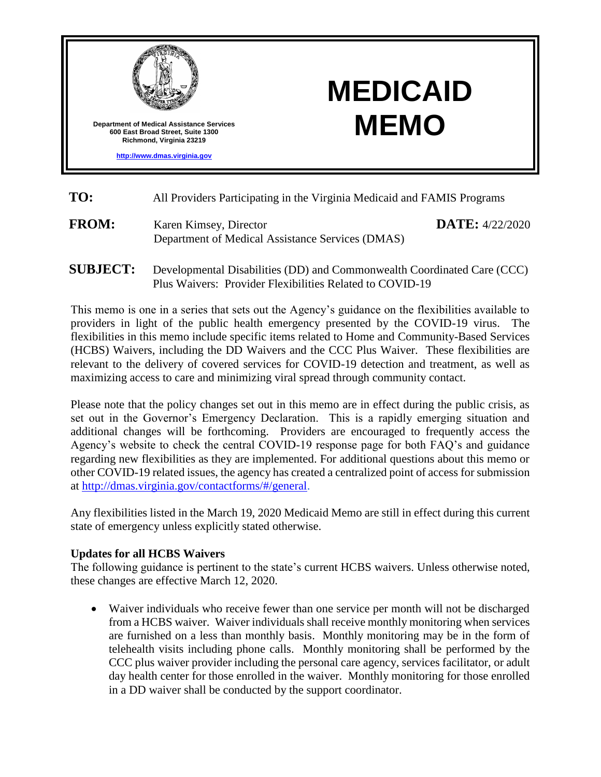

# **MEDICAID MEMO**

- **TO:** All Providers Participating in the Virginia Medicaid and FAMIS Programs
- FROM: Karen Kimsey, Director Department of Medical Assistance Services (DMAS) **DATE:** 4/22/2020
- **SUBJECT:** Developmental Disabilities (DD) and Commonwealth Coordinated Care (CCC) Plus Waivers:Provider Flexibilities Related to COVID-19

This memo is one in a series that sets out the Agency's guidance on the flexibilities available to providers in light of the public health emergency presented by the COVID-19 virus. The flexibilities in this memo include specific items related to Home and Community-Based Services (HCBS) Waivers, including the DD Waivers and the CCC Plus Waiver. These flexibilities are relevant to the delivery of covered services for COVID-19 detection and treatment, as well as maximizing access to care and minimizing viral spread through community contact.

Please note that the policy changes set out in this memo are in effect during the public crisis, as set out in the Governor's Emergency Declaration. This is a rapidly emerging situation and additional changes will be forthcoming. Providers are encouraged to frequently access the Agency's website to check the central COVID-19 response page for both FAQ's and guidance regarding new flexibilities as they are implemented. For additional questions about this memo or other COVID-19 related issues, the agency has created a centralized point of access for submission at [http://dmas.virginia.gov/contactforms/#/general.](http://dmas.virginia.gov/contactforms/#/general)

Any flexibilities listed in the March 19, 2020 Medicaid Memo are still in effect during this current state of emergency unless explicitly stated otherwise.

## **Updates for all HCBS Waivers**

The following guidance is pertinent to the state's current HCBS waivers. Unless otherwise noted, these changes are effective March 12, 2020.

 Waiver individuals who receive fewer than one service per month will not be discharged from a HCBS waiver. Waiver individuals shall receive monthly monitoring when services are furnished on a less than monthly basis. Monthly monitoring may be in the form of telehealth visits including phone calls. Monthly monitoring shall be performed by the CCC plus waiver provider including the personal care agency, services facilitator, or adult day health center for those enrolled in the waiver. Monthly monitoring for those enrolled in a DD waiver shall be conducted by the support coordinator.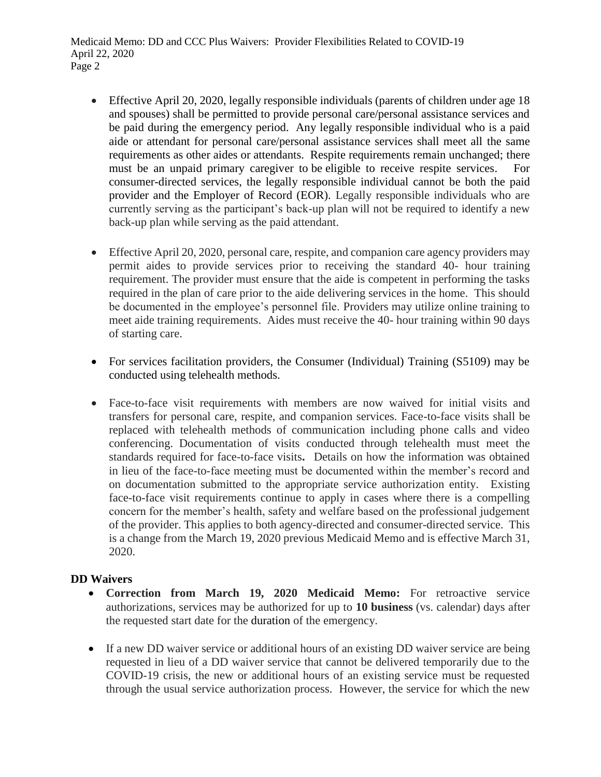- Effective April 20, 2020, legally responsible individuals (parents of children under age 18 and spouses) shall be permitted to provide personal care/personal assistance services and be paid during the emergency period. Any legally responsible individual who is a paid aide or attendant for personal care/personal assistance services shall meet all the same requirements as other aides or attendants. Respite requirements remain unchanged; there must be an unpaid primary caregiver to be eligible to receive respite services. consumer-directed services, the legally responsible individual cannot be both the paid provider and the Employer of Record (EOR). Legally responsible individuals who are currently serving as the participant's back-up plan will not be required to identify a new back-up plan while serving as the paid attendant.
- Effective April 20, 2020, personal care, respite, and companion care agency providers may permit aides to provide services prior to receiving the standard 40- hour training requirement. The provider must ensure that the aide is competent in performing the tasks required in the plan of care prior to the aide delivering services in the home. This should be documented in the employee's personnel file. Providers may utilize online training to meet aide training requirements. Aides must receive the 40- hour training within 90 days of starting care.
- For services facilitation providers, the Consumer (Individual) Training (S5109) may be conducted using telehealth methods.
- Face-to-face visit requirements with members are now waived for initial visits and transfers for personal care, respite, and companion services. Face-to-face visits shall be replaced with telehealth methods of communication including phone calls and video conferencing. Documentation of visits conducted through telehealth must meet the standards required for face-to-face visits**.** Details on how the information was obtained in lieu of the face-to-face meeting must be documented within the member's record and on documentation submitted to the appropriate service authorization entity. Existing face-to-face visit requirements continue to apply in cases where there is a compelling concern for the member's health, safety and welfare based on the professional judgement of the provider. This applies to both agency-directed and consumer-directed service. This is a change from the March 19, 2020 previous Medicaid Memo and is effective March 31, 2020.

# **DD Waivers**

- **Correction from March 19, 2020 Medicaid Memo:** For retroactive service authorizations, services may be authorized for up to **10 business** (vs. calendar) days after the requested start date for the duration of the emergency.
- If a new DD waiver service or additional hours of an existing DD waiver service are being requested in lieu of a DD waiver service that cannot be delivered temporarily due to the COVID-19 crisis, the new or additional hours of an existing service must be requested through the usual service authorization process. However, the service for which the new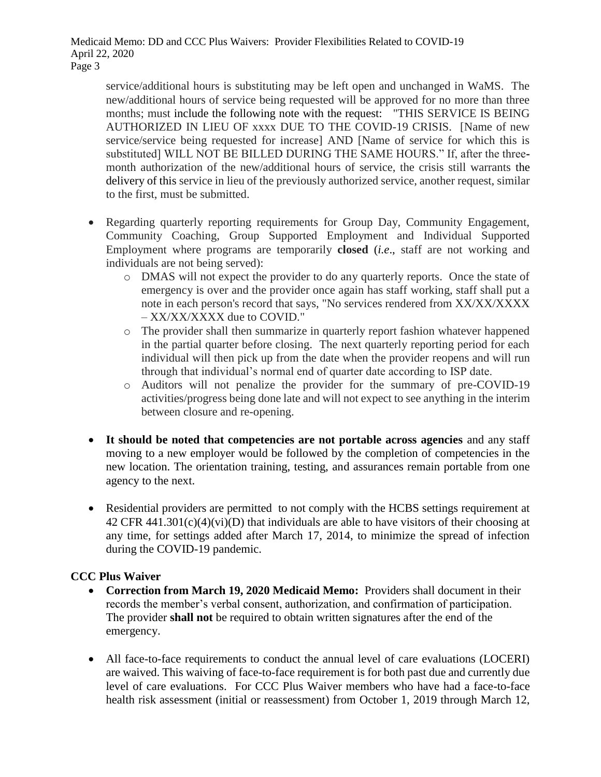service/additional hours is substituting may be left open and unchanged in WaMS. The new/additional hours of service being requested will be approved for no more than three months; must include the following note with the request: "THIS SERVICE IS BEING AUTHORIZED IN LIEU OF xxxx DUE TO THE COVID-19 CRISIS. [Name of new service/service being requested for increase] AND [Name of service for which this is substituted] WILL NOT BE BILLED DURING THE SAME HOURS." If, after the threemonth authorization of the new/additional hours of service, the crisis still warrants the delivery of this service in lieu of the previously authorized service, another request, similar to the first, must be submitted.

- Regarding quarterly reporting requirements for Group Day, Community Engagement, Community Coaching, Group Supported Employment and Individual Supported Employment where programs are temporarily **closed** (*i.e*., staff are not working and individuals are not being served):
	- o DMAS will not expect the provider to do any quarterly reports. Once the state of emergency is over and the provider once again has staff working, staff shall put a note in each person's record that says, "No services rendered from XX/XX/XXXX – XX/XX/XXXX due to COVID."
	- o The provider shall then summarize in quarterly report fashion whatever happened in the partial quarter before closing. The next quarterly reporting period for each individual will then pick up from the date when the provider reopens and will run through that individual's normal end of quarter date according to ISP date.
	- o Auditors will not penalize the provider for the summary of pre-COVID-19 activities/progress being done late and will not expect to see anything in the interim between closure and re-opening.
- **It should be noted that competencies are not portable across agencies** and any staff moving to a new employer would be followed by the completion of competencies in the new location. The orientation training, testing, and assurances remain portable from one agency to the next.
- Residential providers are permitted to not comply with the HCBS settings requirement at  $42$  CFR  $441.301(c)(4)(vi)(D)$  that individuals are able to have visitors of their choosing at any time, for settings added after March 17, 2014, to minimize the spread of infection during the COVID-19 pandemic.

## **CCC Plus Waiver**

- **Correction from March 19, 2020 Medicaid Memo:** Providers shall document in their records the member's verbal consent, authorization, and confirmation of participation. The provider **shall not** be required to obtain written signatures after the end of the emergency.
- All face-to-face requirements to conduct the annual level of care evaluations (LOCERI) are waived. This waiving of face-to-face requirement is for both past due and currently due level of care evaluations. For CCC Plus Waiver members who have had a face-to-face health risk assessment (initial or reassessment) from October 1, 2019 through March 12,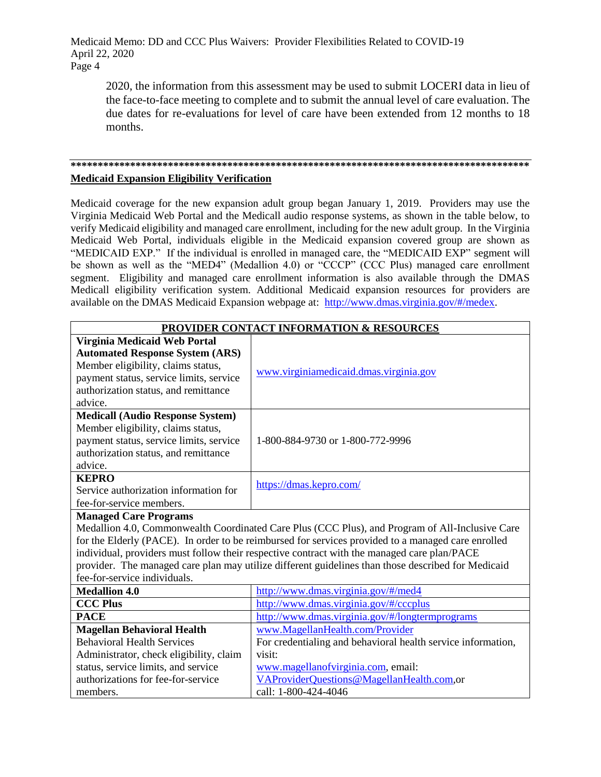2020, the information from this assessment may be used to submit LOCERI data in lieu of the face-to-face meeting to complete and to submit the annual level of care evaluation. The due dates for re-evaluations for level of care have been extended from 12 months to 18 months.

#### **\*\*\*\*\*\*\*\*\*\*\*\*\*\*\*\*\*\*\*\*\*\*\*\*\*\*\*\*\*\*\*\*\*\*\*\*\*\*\*\*\*\*\*\*\*\*\*\*\*\*\*\*\*\*\*\*\*\*\*\*\*\*\*\*\*\*\*\*\*\*\*\*\*\*\*\*\*\*\*\*\*\*\*\*\* Medicaid Expansion Eligibility Verification**

Medicaid coverage for the new expansion adult group began January 1, 2019. Providers may use the Virginia Medicaid Web Portal and the Medicall audio response systems, as shown in the table below, to verify Medicaid eligibility and managed care enrollment, including for the new adult group. In the Virginia Medicaid Web Portal, individuals eligible in the Medicaid expansion covered group are shown as "MEDICAID EXP." If the individual is enrolled in managed care, the "MEDICAID EXP" segment will be shown as well as the "MED4" (Medallion 4.0) or "CCCP" (CCC Plus) managed care enrollment segment. Eligibility and managed care enrollment information is also available through the DMAS Medicall eligibility verification system. Additional Medicaid expansion resources for providers are available on the DMAS Medicaid Expansion webpage at: [http://www.dmas.virginia.gov/#/medex.](http://www.dmas.virginia.gov/#/medex)

| <b>PROVIDER CONTACT INFORMATION &amp; RESOURCES</b>                                                |                                                              |
|----------------------------------------------------------------------------------------------------|--------------------------------------------------------------|
| Virginia Medicaid Web Portal                                                                       |                                                              |
| <b>Automated Response System (ARS)</b>                                                             |                                                              |
| Member eligibility, claims status,                                                                 | www.virginiamedicaid.dmas.virginia.gov                       |
| payment status, service limits, service                                                            |                                                              |
| authorization status, and remittance                                                               |                                                              |
| advice.                                                                                            |                                                              |
| <b>Medicall (Audio Response System)</b>                                                            |                                                              |
| Member eligibility, claims status,                                                                 |                                                              |
| payment status, service limits, service                                                            | 1-800-884-9730 or 1-800-772-9996                             |
| authorization status, and remittance                                                               |                                                              |
| advice.                                                                                            |                                                              |
| <b>KEPRO</b>                                                                                       | https://dmas.kepro.com/                                      |
| Service authorization information for                                                              |                                                              |
| fee-for-service members.                                                                           |                                                              |
| <b>Managed Care Programs</b>                                                                       |                                                              |
| Medallion 4.0, Commonwealth Coordinated Care Plus (CCC Plus), and Program of All-Inclusive Care    |                                                              |
| for the Elderly (PACE). In order to be reimbursed for services provided to a managed care enrolled |                                                              |
| individual, providers must follow their respective contract with the managed care plan/PACE        |                                                              |
| provider. The managed care plan may utilize different guidelines than those described for Medicaid |                                                              |
| fee-for-service individuals.                                                                       |                                                              |
| <b>Medallion 4.0</b>                                                                               | http://www.dmas.virginia.gov/#/med4                          |
| <b>CCC Plus</b>                                                                                    | http://www.dmas.virginia.gov/#/cccplus                       |
| <b>PACE</b>                                                                                        | http://www.dmas.virginia.gov/#/longtermprograms              |
| <b>Magellan Behavioral Health</b>                                                                  | www.MagellanHealth.com/Provider                              |
| <b>Behavioral Health Services</b>                                                                  | For credentialing and behavioral health service information, |
| Administrator, check eligibility, claim                                                            | visit:                                                       |
| status, service limits, and service                                                                | www.magellanofvirginia.com, email:                           |
| authorizations for fee-for-service                                                                 | VAProviderQuestions@MagellanHealth.com,or                    |
| members.                                                                                           | call: 1-800-424-4046                                         |